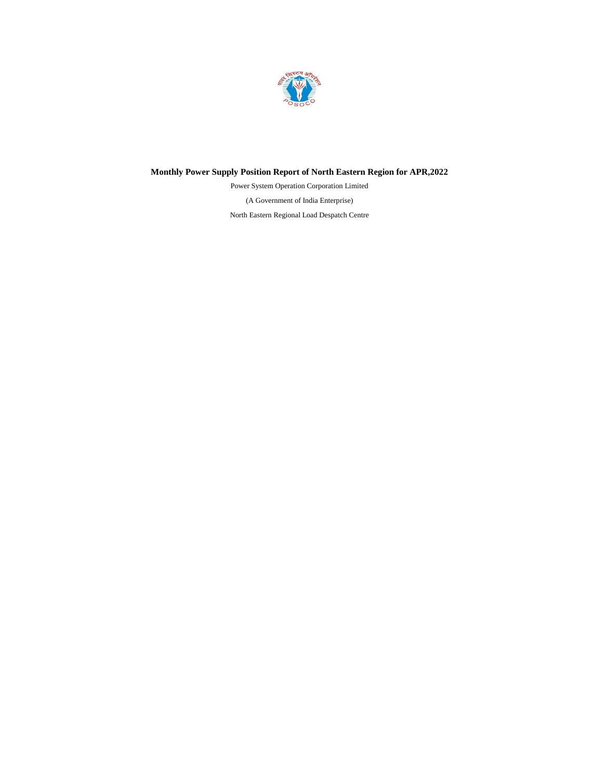

# **Monthly Power Supply Position Report of North Eastern Region for APR,2022**

(A Government of India Enterprise) North Eastern Regional Load Despatch Centre Power System Operation Corporation Limited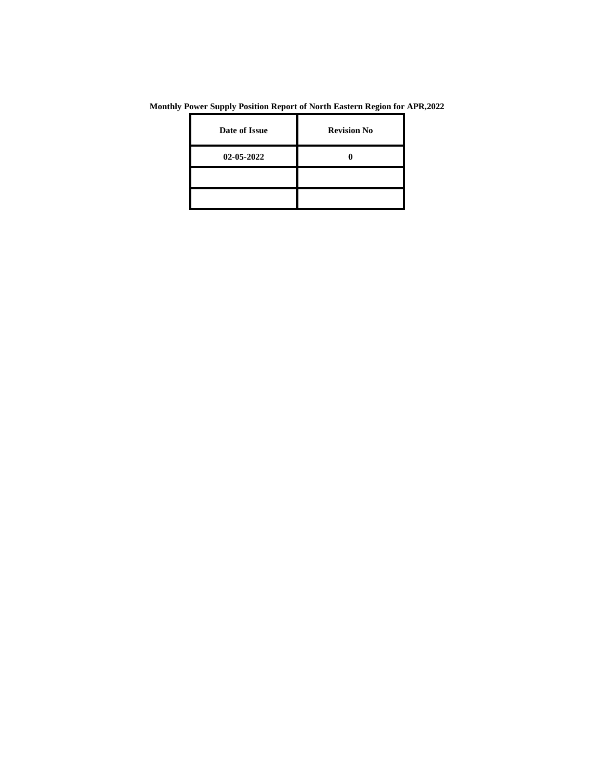| Date of Issue | <b>Revision No</b> |
|---------------|--------------------|
| 02-05-2022    |                    |
|               |                    |
|               |                    |

**Monthly Power Supply Position Report of North Eastern Region for APR,2022**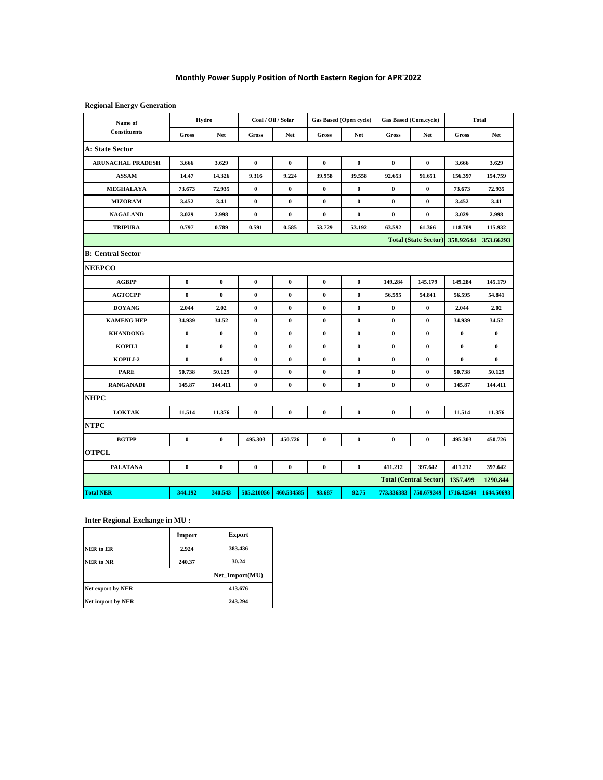## **Monthly Power Supply Position of North Eastern Region for APR'2022**

## **Regional Energy Generation**

| Name of                  |              | Hydro      |              | Coal / Oil / Solar |              | <b>Gas Based (Open cycle)</b> | Gas Based (Com.cycle) |                               |              | <b>Total</b> |
|--------------------------|--------------|------------|--------------|--------------------|--------------|-------------------------------|-----------------------|-------------------------------|--------------|--------------|
| <b>Constituents</b>      | <b>Gross</b> | <b>Net</b> | <b>Gross</b> | <b>Net</b>         | <b>Gross</b> | <b>Net</b>                    | <b>Gross</b>          | <b>Net</b>                    | <b>Gross</b> | <b>Net</b>   |
| <b>A: State Sector</b>   |              |            |              |                    |              |                               |                       |                               |              |              |
| <b>ARUNACHAL PRADESH</b> | 3.666        | 3.629      | $\bf{0}$     | $\bf{0}$           | $\pmb{0}$    | $\bf{0}$                      | $\bf{0}$              | $\bf{0}$                      | 3.666        | 3.629        |
| <b>ASSAM</b>             | 14.47        | 14.326     | 9.316        | 9.224              | 39.958       | 39.558                        | 92.653                | 91.651                        | 156.397      | 154.759      |
| MEGHALAYA                | 73.673       | 72.935     | $\pmb{0}$    | $\pmb{0}$          | $\pmb{0}$    | $\bf{0}$                      | $\pmb{0}$             | $\bf{0}$                      | 73.673       | 72.935       |
| <b>MIZORAM</b>           | 3.452        | 3.41       | $\bf{0}$     | $\bf{0}$           | $\bf{0}$     | $\bf{0}$                      | $\bf{0}$              | $\bf{0}$                      | 3.452        | 3.41         |
| <b>NAGALAND</b>          | 3.029        | 2.998      | 0            | $\pmb{0}$          | $\bf{0}$     | $\bf{0}$                      | $\bf{0}$              | $\bf{0}$                      | 3.029        | 2.998        |
| <b>TRIPURA</b>           | 0.797        | 0.789      | 0.591        | 0.585              | 53.729       | 53.192                        | 63.592                | 61.366                        | 118.709      | 115.932      |
|                          |              |            |              |                    |              |                               |                       | <b>Total (State Sector)</b>   | 358.92644    | 353.66293    |
| <b>B: Central Sector</b> |              |            |              |                    |              |                               |                       |                               |              |              |
| <b>NEEPCO</b>            |              |            |              |                    |              |                               |                       |                               |              |              |
| <b>AGBPP</b>             | $\bf{0}$     | $\bf{0}$   | $\pmb{0}$    | $\bf{0}$           | $\pmb{0}$    | $\bf{0}$                      | 149.284               | 145.179                       | 149.284      | 145.179      |
| <b>AGTCCPP</b>           | $\bf{0}$     | $\pmb{0}$  | $\pmb{0}$    | $\pmb{0}$          | $\pmb{0}$    | $\bf{0}$                      | 56.595                | 54.841                        | 56.595       | 54.841       |
| <b>DOYANG</b>            | 2.044        | 2.02       | 0            | $\bf{0}$           | $\bf{0}$     | $\bf{0}$                      | $\bf{0}$              | $\bf{0}$                      | 2.044        | 2.02         |
| <b>KAMENG HEP</b>        | 34.939       | 34.52      | $\bf{0}$     | $\bf{0}$           | $\pmb{0}$    | $\bf{0}$                      | $\pmb{0}$             | $\bf{0}$                      | 34.939       | 34.52        |
| <b>KHANDONG</b>          | $\bf{0}$     | $\bf{0}$   | $\bf{0}$     | $\bf{0}$           | $\pmb{0}$    | $\bf{0}$                      | $\pmb{0}$             | $\bf{0}$                      | $\bf{0}$     | $\bf{0}$     |
| <b>KOPILI</b>            | $\bf{0}$     | $\bf{0}$   | $\bf{0}$     | $\pmb{0}$          | $\pmb{0}$    | $\bf{0}$                      | $\bf{0}$              | $\bf{0}$                      | $\bf{0}$     | $\bf{0}$     |
| KOPILI-2                 | $\bf{0}$     | $\bf{0}$   | $\pmb{0}$    | $\pmb{0}$          | $\pmb{0}$    | $\bf{0}$                      | $\pmb{0}$             | $\bf{0}$                      | $\bf{0}$     | $\bf{0}$     |
| <b>PARE</b>              | 50.738       | 50.129     | $\bf{0}$     | $\pmb{0}$          | $\pmb{0}$    | $\bf{0}$                      | $\pmb{0}$             | $\bf{0}$                      | 50.738       | 50.129       |
| <b>RANGANADI</b>         | 145.87       | 144.411    | $\bf{0}$     | $\bf{0}$           | $\pmb{0}$    | $\bf{0}$                      | $\pmb{0}$             | $\bf{0}$                      | 145.87       | 144.411      |
| <b>NHPC</b>              |              |            |              |                    |              |                               |                       |                               |              |              |
| <b>LOKTAK</b>            | 11.514       | 11.376     | $\bf{0}$     | $\bf{0}$           | $\pmb{0}$    | $\bf{0}$                      | $\bf{0}$              | $\bf{0}$                      | 11.514       | 11.376       |
| <b>NTPC</b>              |              |            |              |                    |              |                               |                       |                               |              |              |
| <b>BGTPP</b>             | $\bf{0}$     | $\bf{0}$   | 495.303      | 450.726            | $\bf{0}$     | $\bf{0}$                      | $\bf{0}$              | $\bf{0}$                      | 495.303      | 450.726      |
| <b>OTPCL</b>             |              |            |              |                    |              |                               |                       |                               |              |              |
| <b>PALATANA</b>          | $\bf{0}$     | $\bf{0}$   | $\bf{0}$     | $\bf{0}$           | $\bf{0}$     | $\bf{0}$                      | 411.212               | 397.642                       | 411.212      | 397.642      |
|                          |              |            |              |                    |              |                               |                       | <b>Total (Central Sector)</b> | 1357.499     | 1290.844     |
| <b>Total NER</b>         | 344.192      | 340.543    | 505.210056   | 460.534585         | 93.687       | 92.75                         | 773.336383            | 750.679349                    | 1716.42544   | 1644.50693   |

## **Inter Regional Exchange in MU :**

|                   | Import | <b>Export</b>  |
|-------------------|--------|----------------|
| NER to ER         | 2.924  | 383.436        |
| NER to NR         | 240.37 | 30.24          |
|                   |        | Net Import(MU) |
| Net export by NER |        | 413.676        |
|                   |        |                |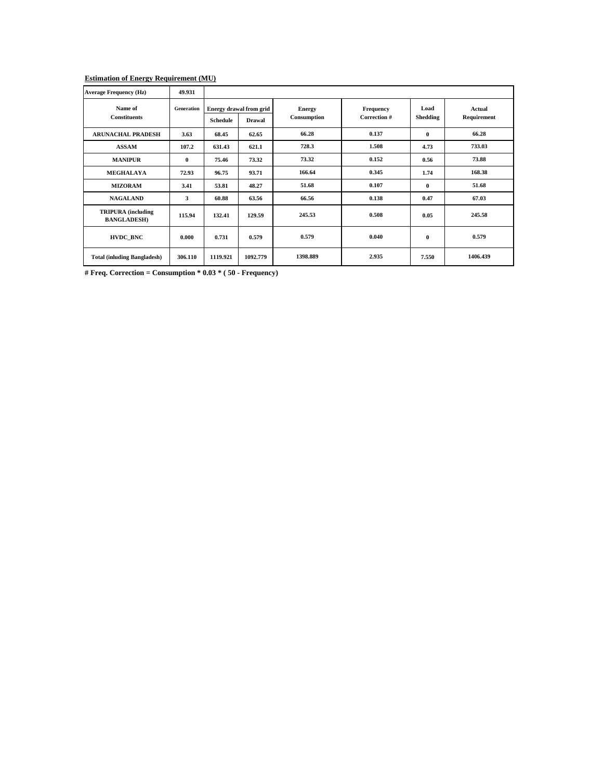#### **Estimation of Energy Requirement (MU)**

| <b>Average Frequency (Hz)</b>                   | 49.931            |                 |                         |               |              |          |             |
|-------------------------------------------------|-------------------|-----------------|-------------------------|---------------|--------------|----------|-------------|
| Name of                                         | <b>Generation</b> |                 | Energy drawal from grid | <b>Energy</b> | Frequency    | Load     | Actual      |
| <b>Constituents</b>                             |                   | <b>Schedule</b> | <b>Drawal</b>           | Consumption   | Correction # | Shedding | Requirement |
| <b>ARUNACHAL PRADESH</b>                        | 3.63              | 68.45           | 62.65                   | 66.28         | 0.137        | 0        | 66.28       |
| <b>ASSAM</b>                                    | 107.2             | 631.43          | 621.1                   | 728.3         | 1.508        | 4.73     | 733.03      |
| <b>MANIPUR</b>                                  | $\bf{0}$          | 75.46           | 73.32                   | 73.32         | 0.152        | 0.56     | 73.88       |
| <b>MEGHALAYA</b>                                | 72.93             | 96.75           | 93.71                   | 166.64        | 0.345        | 1.74     | 168.38      |
| <b>MIZORAM</b>                                  | 3.41              | 53.81           | 48.27                   | 51.68         | 0.107        | $\bf{0}$ | 51.68       |
| <b>NAGALAND</b>                                 | 3                 | 60.88           | 63.56                   | 66.56         | 0.138        | 0.47     | 67.03       |
| <b>TRIPURA</b> (including<br><b>BANGLADESH)</b> | 115.94            | 132.41          | 129.59                  | 245.53        | 0.508        | 0.05     | 245.58      |
| <b>HVDC BNC</b>                                 | 0.000             | 0.731           | 0.579                   | 0.579         | 0.040        | $\bf{0}$ | 0.579       |
| <b>Total (inluding Bangladesh)</b>              | 306.110           | 1119.921        | 1092.779                | 1398.889      | 2.935        | 7.550    | 1406.439    |

**# Freq. Correction = Consumption \* 0.03 \* ( 50 - Frequency)**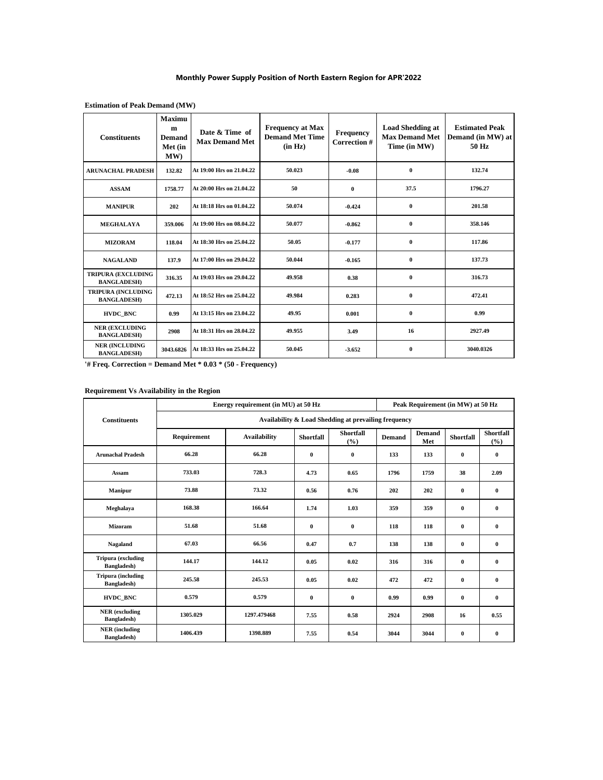## **Monthly Power Supply Position of North Eastern Region for APR'2022**

| <b>Constituents</b>                             | <b>Maximu</b><br>m<br><b>Demand</b><br>Met (in<br>MW) | Date & Time of<br><b>Max Demand Met</b> | <b>Frequency at Max</b><br><b>Demand Met Time</b><br>(in Hz) | <b>Frequency</b><br>Correction # | <b>Load Shedding at</b><br><b>Max Demand Met</b><br>Time (in MW) | <b>Estimated Peak</b><br>Demand (in MW) at<br>50 Hz |
|-------------------------------------------------|-------------------------------------------------------|-----------------------------------------|--------------------------------------------------------------|----------------------------------|------------------------------------------------------------------|-----------------------------------------------------|
| <b>ARUNACHAL PRADESH</b>                        | 132.82                                                | At 19:00 Hrs on 21.04.22                | 50.023                                                       | $-0.08$                          | $\bf{0}$                                                         | 132.74                                              |
| <b>ASSAM</b>                                    | 1758.77                                               | At 20:00 Hrs on 21.04.22                | 50                                                           | $\bf{0}$                         | 37.5                                                             | 1796.27                                             |
| <b>MANIPUR</b>                                  | 202                                                   | At 18:18 Hrs on 01.04.22                | 50.074                                                       | $-0.424$                         | $\bf{0}$                                                         | 201.58                                              |
| <b>MEGHALAYA</b>                                | 359.006                                               | At 19:00 Hrs on 08.04.22                | 50.077                                                       | $-0.862$                         | $\mathbf{0}$                                                     | 358.146                                             |
| <b>MIZORAM</b>                                  | 118.04                                                | At 18:30 Hrs on 25.04.22                | 50.05                                                        | $-0.177$                         | $\bf{0}$                                                         | 117.86                                              |
| <b>NAGALAND</b>                                 | 137.9                                                 | At 17:00 Hrs on 29.04.22                | 50.044                                                       | $-0.165$                         | $\bf{0}$                                                         | 137.73                                              |
| <b>TRIPURA (EXCLUDING</b><br><b>BANGLADESH)</b> | 316.35                                                | At 19:03 Hrs on 29.04.22                | 49.958                                                       | 0.38                             | $\bf{0}$                                                         | 316.73                                              |
| <b>TRIPURA (INCLUDING</b><br><b>BANGLADESH)</b> | 472.13                                                | At 18:52 Hrs on 25.04.22                | 49.984                                                       | 0.283                            | $\bf{0}$                                                         | 472.41                                              |
| <b>HVDC BNC</b>                                 | 0.99                                                  | At 13:15 Hrs on 23.04.22                | 49.95                                                        | 0.001                            | $\bf{0}$                                                         | 0.99                                                |
| <b>NER (EXCLUDING</b><br><b>BANGLADESH)</b>     | 2908                                                  | At 18:31 Hrs on 28.04.22                | 49.955                                                       | 3.49                             | 16                                                               | 2927.49                                             |
| <b>NER (INCLUDING</b><br><b>BANGLADESH)</b>     | 3043.6826                                             | At 18:33 Hrs on 25.04.22                | 50.045                                                       | $-3.652$                         | $\mathbf{0}$                                                     | 3040.0326                                           |

## **Estimation of Peak Demand (MW)**

**'# Freq. Correction = Demand Met \* 0.03 \* (50 - Frequency)**

## **Requirement Vs Availability in the Region**

|                                              |                                                      | Energy requirement (in MU) at 50 Hz | Peak Requirement (in MW) at 50 Hz |                            |               |               |                  |                         |  |  |  |  |
|----------------------------------------------|------------------------------------------------------|-------------------------------------|-----------------------------------|----------------------------|---------------|---------------|------------------|-------------------------|--|--|--|--|
| <b>Constituents</b>                          | Availability & Load Shedding at prevailing frequency |                                     |                                   |                            |               |               |                  |                         |  |  |  |  |
|                                              | Requirement                                          | <b>Availability</b>                 | <b>Shortfall</b>                  | <b>Shortfall</b><br>$(\%)$ | <b>Demand</b> | Demand<br>Met | <b>Shortfall</b> | <b>Shortfall</b><br>(%) |  |  |  |  |
| <b>Arunachal Pradesh</b>                     | 66.28                                                | 66.28                               | $\bf{0}$                          | $\bf{0}$                   | 133           | 133           | $\bf{0}$         | $\bf{0}$                |  |  |  |  |
| Assam                                        | 733.03                                               | 728.3                               | 4.73                              | 0.65                       | 1796          | 1759          | 38               | 2.09                    |  |  |  |  |
| <b>Manipur</b>                               | 73.88                                                | 73.32                               | 0.56                              | 0.76                       | 202           | 202           | $\bf{0}$         | $\bf{0}$                |  |  |  |  |
| Meghalaya                                    | 168.38                                               | 166.64                              | 1.74                              | 1.03                       | 359           | 359           | $\bf{0}$         | $\bf{0}$                |  |  |  |  |
| Mizoram                                      | 51.68                                                | 51.68                               | $\bf{0}$                          | $\mathbf{0}$               | 118           | 118           | $\bf{0}$         | $\mathbf{0}$            |  |  |  |  |
| Nagaland                                     | 67.03                                                | 66.56                               | 0.47                              | 0.7                        | 138           | 138           | $\bf{0}$         | $\bf{0}$                |  |  |  |  |
| <b>Tripura</b> (excluding<br>Bangladesh)     | 144.17                                               | 144.12                              | 0.05                              | 0.02                       | 316           | 316           | $\bf{0}$         | $\bf{0}$                |  |  |  |  |
| <b>Tripura</b> (including<br>Bangladesh)     | 245.58                                               | 245.53                              | 0.05                              | 0.02                       | 472           | 472           | $\bf{0}$         | $\bf{0}$                |  |  |  |  |
| HVDC_BNC                                     | 0.579                                                | 0.579                               | $\bf{0}$                          | $\mathbf{0}$               | 0.99          | 0.99          | $\bf{0}$         | $\bf{0}$                |  |  |  |  |
| <b>NER</b> (excluding<br>Bangladesh)         | 1305.029                                             | 1297.479468                         | 7.55                              | 0.58                       | 2924          | 2908          | 16               | 0.55                    |  |  |  |  |
| <b>NER</b> (including<br><b>Bangladesh</b> ) | 1406.439                                             | 1398.889                            | 7.55                              | 0.54                       | 3044          | 3044          | $\bf{0}$         | $\bf{0}$                |  |  |  |  |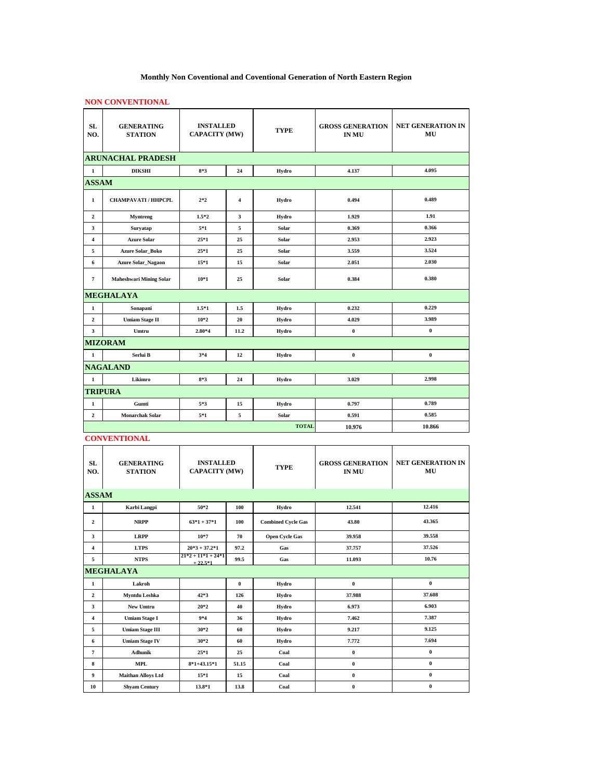# **Monthly Non Coventional and Coventional Generation of North Eastern Region**

# **NON CONVENTIONAL**

| <b>SL</b><br>NO.         | <b>GENERATING</b><br><b>STATION</b> | <b>INSTALLED</b><br><b>CAPACITY (MW)</b> |                | <b>TYPE</b>  | <b>GROSS GENERATION</b><br><b>IN MU</b> | <b>NET GENERATION IN</b><br>MU |  |  |  |
|--------------------------|-------------------------------------|------------------------------------------|----------------|--------------|-----------------------------------------|--------------------------------|--|--|--|
| <b>ARUNACHAL PRADESH</b> |                                     |                                          |                |              |                                         |                                |  |  |  |
| 1                        | <b>DIKSHI</b>                       | $8*3$                                    | 24             | Hydro        | 4.137                                   | 4.095                          |  |  |  |
| <b>ASSAM</b>             |                                     |                                          |                |              |                                         |                                |  |  |  |
| $\mathbf{1}$             | CHAMPAVATI / HHPCPL                 | $2*2$                                    | $\overline{4}$ | Hydro        | 0.494                                   | 0.489                          |  |  |  |
| $\mathbf{2}$             | Myntreng                            | $1.5*2$                                  | 3              | Hydro        | 1.929                                   | 1.91                           |  |  |  |
| 3                        | Suryatap                            | $5*1$                                    | 5              | Solar        | 0.369                                   | 0.366                          |  |  |  |
| 4                        | <b>Azure Solar</b>                  | $25*1$                                   | 25             | Solar        | 2.953                                   | 2.923                          |  |  |  |
| 5                        | <b>Azure Solar Boko</b>             | $25*1$                                   | 25             | Solar        | 3.559                                   | 3.524                          |  |  |  |
| 6                        | <b>Azure Solar_Nagaon</b>           | $15*1$                                   | 15             | Solar        | 2.051                                   | 2.030                          |  |  |  |
| 7                        | <b>Maheshwari Mining Solar</b>      | $10*1$                                   | 25             | Solar        | 0.384                                   | 0.380                          |  |  |  |
|                          | <b>MEGHALAYA</b>                    |                                          |                |              |                                         |                                |  |  |  |
| $\mathbf 1$              | Sonapani                            | $1.5*1$                                  | 1.5            | Hydro        | 0.232                                   | 0.229                          |  |  |  |
| $\mathbf{2}$             | <b>Umiam Stage II</b>               | $10*2$                                   | 20             | Hydro        | 4.029                                   | 3.989                          |  |  |  |
| 3                        | Umtru                               | $2.80*4$                                 | 11.2           | Hydro        | $\pmb{0}$                               | $\bf{0}$                       |  |  |  |
|                          | <b>MIZORAM</b>                      |                                          |                |              |                                         |                                |  |  |  |
| $\mathbf{1}$             | Serlui B                            | 3*4                                      | 12             | Hydro        | $\bf{0}$                                | $\bf{0}$                       |  |  |  |
|                          | <b>NAGALAND</b>                     |                                          |                |              |                                         |                                |  |  |  |
| $\mathbf{1}$             | Likimro                             | $8*3$                                    | 24             | Hydro        | 3.029                                   | 2.998                          |  |  |  |
|                          | <b>TRIPURA</b>                      |                                          |                |              |                                         |                                |  |  |  |
| 1                        | Gumti                               | 5*3                                      | 15             | Hydro        | 0.797                                   | 0.789                          |  |  |  |
| $\overline{2}$           | <b>Monarchak Solar</b>              | $5*1$                                    | 5              | Solar        | 0.591                                   | 0.585                          |  |  |  |
|                          |                                     |                                          |                | <b>TOTAL</b> | 10.976                                  | 10.866                         |  |  |  |

#### **CONVENTIONAL**

| <b>SL</b><br>NO. | <b>GENERATING</b><br><b>STATION</b> | <b>INSTALLED</b><br><b>CAPACITY (MW)</b> |              | <b>TYPE</b>               | <b>GROSS GENERATION</b><br><b>IN MU</b> | <b>NET GENERATION IN</b><br>MU |
|------------------|-------------------------------------|------------------------------------------|--------------|---------------------------|-----------------------------------------|--------------------------------|
| <b>ASSAM</b>     |                                     |                                          |              |                           |                                         |                                |
| $\mathbf{1}$     | Karbi Langpi                        | $50*2$                                   | 100          | Hydro                     | 12.541                                  | 12.416                         |
| $\overline{2}$   | <b>NRPP</b>                         | $63*1 + 37*1$                            | 100          | <b>Combined Cycle Gas</b> | 43.80                                   | 43.365                         |
| 3                | <b>LRPP</b>                         | $10*7$                                   | 70           | <b>Open Cycle Gas</b>     | 39.958                                  | 39.558                         |
| 4                | <b>LTPS</b>                         | $20*3+37.2*1$                            | 97.2         | Gas                       | 37.757                                  | 37.526                         |
| 5                | <b>NTPS</b>                         | $21*2 + 11*1 + 24*1$<br>$+22.5*1$        | 99.5         | Gas                       | 11.093                                  | 10.76                          |
|                  | <b>MEGHALAYA</b>                    |                                          |              |                           |                                         |                                |
| 1                | Lakroh                              |                                          | $\mathbf{0}$ | Hydro                     | $\bf{0}$                                | $\bf{0}$                       |
| $\mathbf{2}$     | <b>Myntdu Leshka</b>                | $42*3$                                   | 126          | Hydro                     | 37.988                                  | 37.608                         |
| 3                | New Umtru                           | $20*2$                                   | 40           | Hydro                     | 6.973                                   | 6.903                          |
| 4                | <b>Umiam Stage I</b>                | $9*4$                                    | 36           | Hydro                     | 7.462                                   | 7.387                          |
| 5                | <b>Umiam Stage III</b>              | $30*2$                                   | 60           | Hydro                     | 9.217                                   | 9.125                          |
| 6                | <b>Umiam Stage IV</b>               | $30*2$                                   | 60           | Hydro                     | 7.772                                   | 7.694                          |
| 7                | <b>Adhunik</b>                      | $25*1$                                   | 25           | Coal                      | $\bf{0}$                                | $\bf{0}$                       |
| 8                | <b>MPL</b>                          | $8*1+43.15*1$                            | 51.15        | Coal                      | $\bf{0}$                                | $\bf{0}$                       |
| 9                | <b>Maithan Alloys Ltd</b>           | $15*1$                                   | 15           | Coal                      | $\bf{0}$                                | $\bf{0}$                       |
| 10               | <b>Shyam Century</b>                | 13.8*1                                   | 13.8         | Coal                      | $\bf{0}$                                | $\bf{0}$                       |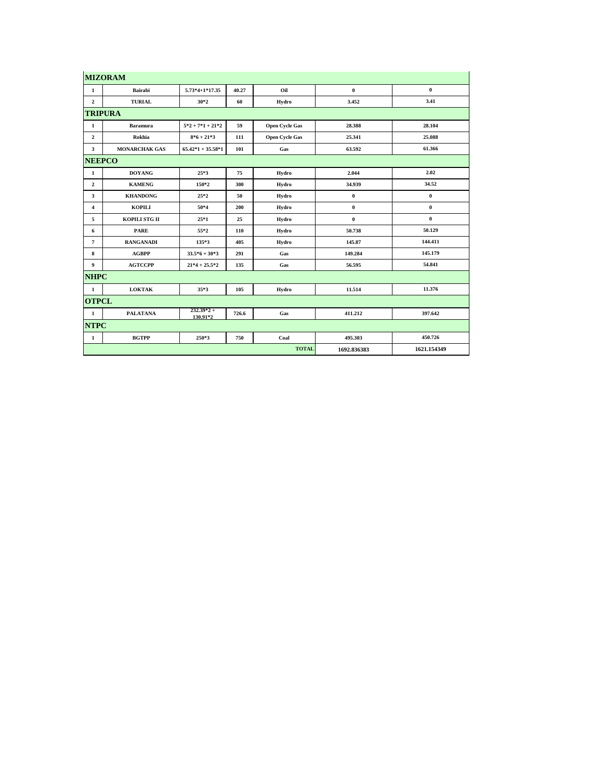|                | <b>MIZORAM</b>       |                          |       |                       |             |             |
|----------------|----------------------|--------------------------|-------|-----------------------|-------------|-------------|
| $\mathbf{1}$   | Bairabi              | $5.73*4+1*17.35$         | 40.27 | Oil                   | $\bf{0}$    | $\bf{0}$    |
| $\overline{2}$ | <b>TURIAL</b>        | $30*2$                   | 60    | Hydro                 | 3.452       | 3.41        |
|                | <b>TRIPURA</b>       |                          |       |                       |             |             |
| 1              | <b>Baramura</b>      | $5*2+7*1+21*2$           | 59    | <b>Open Cycle Gas</b> | 28.388      | 28.104      |
| $\overline{2}$ | Rokhia               | $8*6+21*3$               | 111   | <b>Open Cycle Gas</b> | 25.341      | 25.088      |
| $\mathbf{3}$   | <b>MONARCHAK GAS</b> | $65.42*1 + 35.58*1$      | 101   | Gas                   | 63.592      | 61.366      |
| <b>NEEPCO</b>  |                      |                          |       |                       |             |             |
| 1              | <b>DOYANG</b>        | $25*3$                   | 75    | Hydro                 | 2.044       | 2.02        |
| $\overline{2}$ | <b>KAMENG</b>        | 150*2                    | 300   | Hydro                 | 34.939      | 34.52       |
| $\mathbf{3}$   | <b>KHANDONG</b>      | $25*2$                   | 50    | Hydro                 | $\pmb{0}$   | $\bf{0}$    |
| $\overline{4}$ | <b>KOPILI</b>        | 50*4                     | 200   | Hydro                 | $\bf{0}$    | $\bf{0}$    |
| 5              | KOPILI STG II        | $25*1$                   | 25    | Hydro                 | $\bf{0}$    | $\bf{0}$    |
| 6              | <b>PARE</b>          | 55*2                     | 110   | Hydro                 | 50.738      | 50.129      |
| $\overline{7}$ | <b>RANGANADI</b>     | $135*3$                  | 405   | Hydro                 | 145.87      | 144.411     |
| 8              | <b>AGBPP</b>         | $33.5*6+30*3$            | 291   | Gas                   | 149.284     | 145.179     |
| 9              | <b>AGTCCPP</b>       | $21*4+25.5*2$            | 135   | Gas                   | 56.595      | 54.841      |
| <b>NHPC</b>    |                      |                          |       |                       |             |             |
| $\mathbf{1}$   | <b>LOKTAK</b>        | $35*3$                   | 105   | Hydro                 | 11.514      | 11.376      |
| <b>OTPCL</b>   |                      |                          |       |                       |             |             |
| $\mathbf{1}$   | <b>PALATANA</b>      | $232.39*2 +$<br>130.91*2 | 726.6 | Gas                   | 411.212     | 397.642     |
| <b>NTPC</b>    |                      |                          |       |                       |             |             |
| 1              | <b>BGTPP</b>         | $250*3$                  | 750   | Coal                  | 495.303     | 450.726     |
|                |                      |                          |       | <b>TOTAL</b>          | 1692.836383 | 1621.154349 |